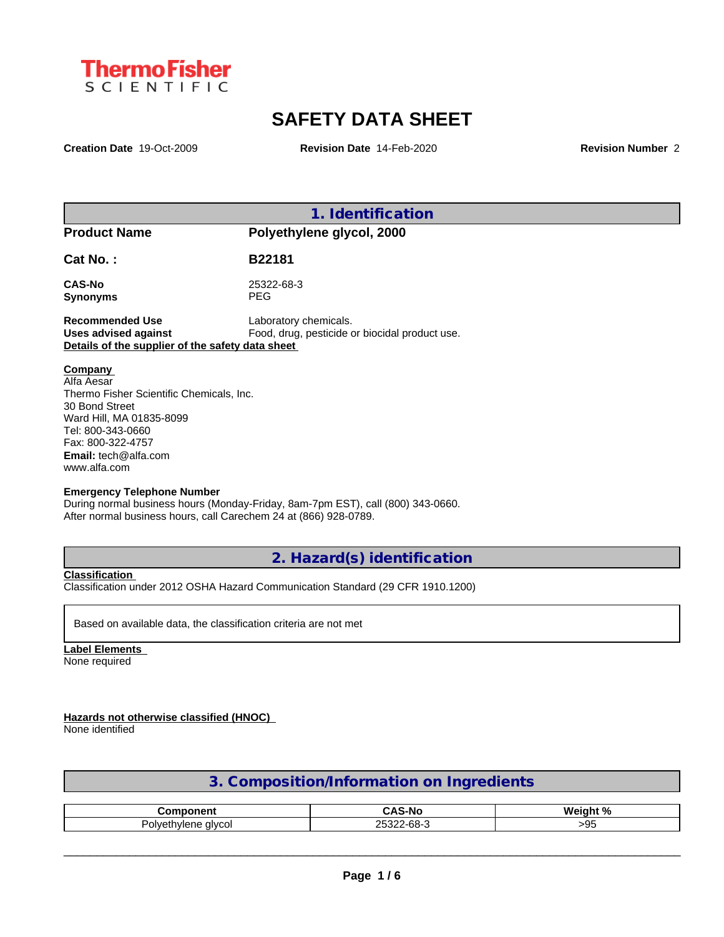

# **SAFETY DATA SHEET**

**Creation Date** 19-Oct-2009 **Revision Date** 14-Feb-2020 **Revision Number** 2

**1. Identification Product Name Polyethylene glycol, 2000 Cat No. : B22181 CAS-No** 25322-68-3 **Synonyms** PEG **Recommended Use** Laboratory chemicals. **Uses advised against** Food, drug, pesticide or biocidal product use. **Details of the supplier of the safety data sheet Emergency Telephone Number Company**  Alfa Aesar Thermo Fisher Scientific Chemicals, Inc. 30 Bond Street Ward Hill, MA 01835-8099 Tel: 800-343-0660 Fax: 800-322-4757 **Email:** tech@alfa.com www.alfa.com

During normal business hours (Monday-Friday, 8am-7pm EST), call (800) 343-0660. After normal business hours, call Carechem 24 at (866) 928-0789.

**2. Hazard(s) identification**

**Classification**

Classification under 2012 OSHA Hazard Communication Standard (29 CFR 1910.1200)

Based on available data, the classification criteria are not met

**Label Elements** None required

**Hazards not otherwise classified (HNOC)**

None identified

| 3. Composition/Information on Ingredients |  |
|-------------------------------------------|--|
|                                           |  |

| -- - -- - --              | ∽ ^<br>-N(   | W۵<br>$\mathbf{a}$ |
|---------------------------|--------------|--------------------|
| Polve<br>alvcol<br>nvianc | $\sim$<br>oc | 11<br>~ ט          |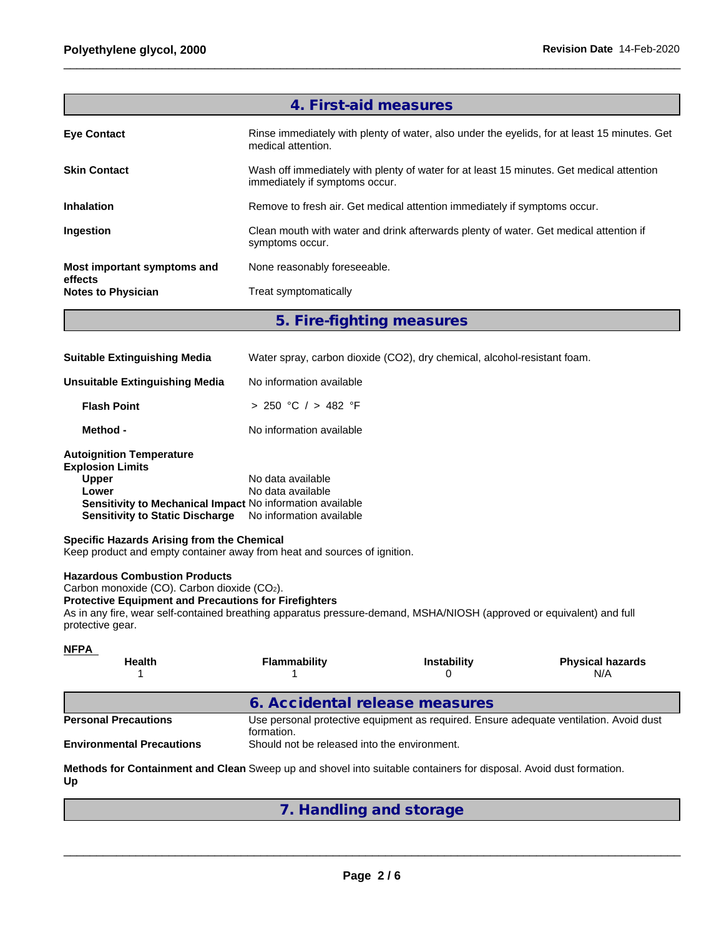|                                      | 4. First-aid measures                                                                                                      |
|--------------------------------------|----------------------------------------------------------------------------------------------------------------------------|
| <b>Eve Contact</b>                   | Rinse immediately with plenty of water, also under the eyelids, for at least 15 minutes. Get<br>medical attention.         |
| <b>Skin Contact</b>                  | Wash off immediately with plenty of water for at least 15 minutes. Get medical attention<br>immediately if symptoms occur. |
| <b>Inhalation</b>                    | Remove to fresh air. Get medical attention immediately if symptoms occur.                                                  |
| Ingestion                            | Clean mouth with water and drink afterwards plenty of water. Get medical attention if<br>symptoms occur.                   |
| Most important symptoms and          | None reasonably foreseeable.                                                                                               |
| effects<br><b>Notes to Physician</b> | Treat symptomatically                                                                                                      |
|                                      |                                                                                                                            |

**5. Fire-fighting measures**

| <b>Suitable Extinguishing Media</b> | Water spray, carbon dioxide (CO2), dry chemical, alcohol-resistant foam. |
|-------------------------------------|--------------------------------------------------------------------------|
| Unsuitable Extinguishing Media      | No information available                                                 |

| <b>Flash Point</b>              | > 250 °C / > 482 °F                                              |  |
|---------------------------------|------------------------------------------------------------------|--|
| Method -                        | No information available                                         |  |
| <b>Autoignition Temperature</b> |                                                                  |  |
| <b>Explosion Limits</b>         |                                                                  |  |
| <b>Upper</b>                    | No data available                                                |  |
| Lower                           | No data available                                                |  |
|                                 | <b>Sensitivity to Mechanical Impact No information available</b> |  |

# **Specific Hazards Arising from the Chemical**

Keep product and empty container away from heat and sources of ignition.

**Sensitivity to Static Discharge** No information available

# **Hazardous Combustion Products**

Carbon monoxide (CO). Carbon dioxide (CO2).

## **Protective Equipment and Precautions for Firefighters**

As in any fire, wear self-contained breathing apparatus pressure-demand, MSHA/NIOSH (approved or equivalent) and full protective gear.

| <b>NFPA</b><br><b>Health</b>                                    | Flammability                                               | <b>Instability</b> | <b>Physical hazards</b><br>N/A                                                         |
|-----------------------------------------------------------------|------------------------------------------------------------|--------------------|----------------------------------------------------------------------------------------|
|                                                                 | 6. Accidental release measures                             |                    |                                                                                        |
| <b>Personal Precautions</b><br><b>Environmental Precautions</b> | formation.<br>Should not be released into the environment. |                    | Use personal protective equipment as required. Ensure adequate ventilation. Avoid dust |

**Methods for Containment and Clean** Sweep up and shovel into suitable containers for disposal. Avoid dust formation. **Up**

**7. Handling and storage**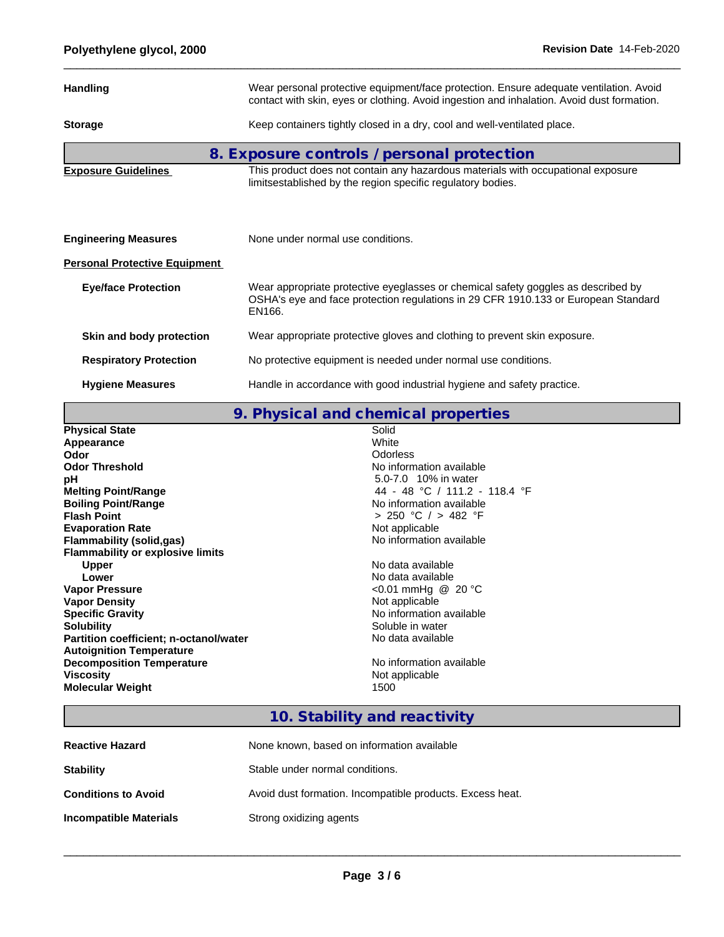| <b>Handling</b>                      | Wear personal protective equipment/face protection. Ensure adequate ventilation. Avoid<br>contact with skin, eyes or clothing. Avoid ingestion and inhalation. Avoid dust formation. |  |  |
|--------------------------------------|--------------------------------------------------------------------------------------------------------------------------------------------------------------------------------------|--|--|
| <b>Storage</b>                       | Keep containers tightly closed in a dry, cool and well-ventilated place.                                                                                                             |  |  |
|                                      | 8. Exposure controls / personal protection                                                                                                                                           |  |  |
| <b>Exposure Guidelines</b>           | This product does not contain any hazardous materials with occupational exposure<br>limitsestablished by the region specific regulatory bodies.                                      |  |  |
|                                      |                                                                                                                                                                                      |  |  |
| <b>Engineering Measures</b>          | None under normal use conditions.                                                                                                                                                    |  |  |
| <b>Personal Protective Equipment</b> |                                                                                                                                                                                      |  |  |
| <b>Eye/face Protection</b>           | Wear appropriate protective eyeglasses or chemical safety goggles as described by<br>OSHA's eye and face protection regulations in 29 CFR 1910.133 or European Standard<br>EN166.    |  |  |
| Skin and body protection             | Wear appropriate protective gloves and clothing to prevent skin exposure.                                                                                                            |  |  |
| <b>Respiratory Protection</b>        | No protective equipment is needed under normal use conditions.                                                                                                                       |  |  |
| <b>Hygiene Measures</b>              | Handle in accordance with good industrial hygiene and safety practice.                                                                                                               |  |  |

**9. Physical and chemical properties**

| <b>Physical State</b>                   | Solid                         |
|-----------------------------------------|-------------------------------|
| Appearance                              | White                         |
| Odor                                    | <b>Odorless</b>               |
| <b>Odor Threshold</b>                   | No information available      |
| рH                                      | 5.0-7.0 10% in water          |
| <b>Melting Point/Range</b>              | 44 - 48 °C / 111.2 - 118.4 °F |
| <b>Boiling Point/Range</b>              | No information available      |
| <b>Flash Point</b>                      | > 250 °C / > 482 °F           |
| <b>Evaporation Rate</b>                 | Not applicable                |
| Flammability (solid,gas)                | No information available      |
| <b>Flammability or explosive limits</b> |                               |
| <b>Upper</b>                            | No data available             |
| Lower                                   | No data available             |
| <b>Vapor Pressure</b>                   | <0.01 mmHg @ 20 °C            |
| <b>Vapor Density</b>                    | Not applicable                |
| <b>Specific Gravity</b>                 | No information available      |
| <b>Solubility</b>                       | Soluble in water              |
| Partition coefficient; n-octanol/water  | No data available             |
| <b>Autoignition Temperature</b>         |                               |
| <b>Decomposition Temperature</b>        | No information available      |
| <b>Viscosity</b>                        | Not applicable                |
| <b>Molecular Weight</b>                 | 1500                          |
|                                         |                               |

# **10. Stability and reactivity**

| <b>Reactive Hazard</b>        | None known, based on information available                |
|-------------------------------|-----------------------------------------------------------|
| <b>Stability</b>              | Stable under normal conditions.                           |
| <b>Conditions to Avoid</b>    | Avoid dust formation. Incompatible products. Excess heat. |
| <b>Incompatible Materials</b> | Strong oxidizing agents                                   |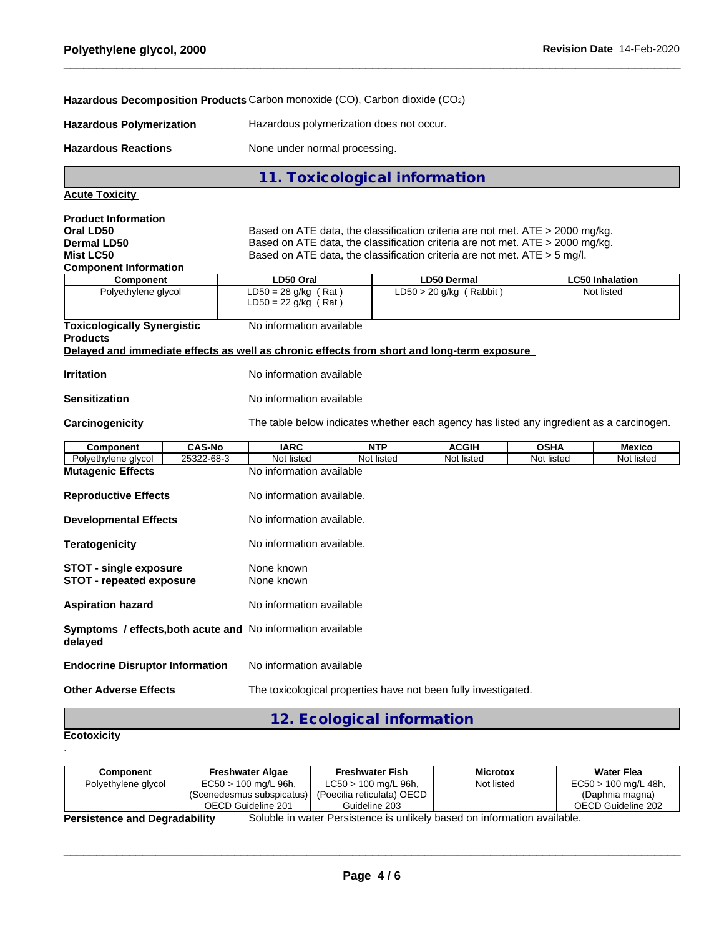## **Hazardous Decomposition Products** Carbon monoxide (CO), Carbon dioxide (CO2)

**Hazardous Polymerization** Hazardous polymerization does not occur.

Hazardous Reactions **None under normal processing**.

# **11. Toxicological information**

| Acute Toxicity |  |
|----------------|--|
|                |  |

| <b>Product Information</b><br>Oral LD50<br><b>Dermal LD50</b><br>Mist LC50<br><b>Component Information</b>                                          | Based on ATE data, the classification criteria are not met. ATE > 2000 mg/kg.<br>Based on ATE data, the classification criteria are not met. ATE > 2000 mg/kg.<br>Based on ATE data, the classification criteria are not met. ATE $>$ 5 mg/l. |            |                           |             |                        |  |
|-----------------------------------------------------------------------------------------------------------------------------------------------------|-----------------------------------------------------------------------------------------------------------------------------------------------------------------------------------------------------------------------------------------------|------------|---------------------------|-------------|------------------------|--|
| <b>Component</b>                                                                                                                                    | LD50 Oral                                                                                                                                                                                                                                     |            | <b>LD50 Dermal</b>        |             | <b>LC50 Inhalation</b> |  |
| Polyethylene glycol                                                                                                                                 | $LD50 = 28$ g/kg (Rat)<br>$LD50 = 22$ g/kg (Rat)                                                                                                                                                                                              |            | $LD50 > 20$ g/kg (Rabbit) |             | Not listed             |  |
| <b>Toxicologically Synergistic</b><br><b>Products</b><br>Delayed and immediate effects as well as chronic effects from short and long-term exposure | No information available                                                                                                                                                                                                                      |            |                           |             |                        |  |
| <b>Irritation</b>                                                                                                                                   | No information available                                                                                                                                                                                                                      |            |                           |             |                        |  |
| <b>Sensitization</b>                                                                                                                                | No information available                                                                                                                                                                                                                      |            |                           |             |                        |  |
| Carcinogenicity                                                                                                                                     | The table below indicates whether each agency has listed any ingredient as a carcinogen.                                                                                                                                                      |            |                           |             |                        |  |
| <b>CAS-No</b><br>Component                                                                                                                          | <b>IARC</b>                                                                                                                                                                                                                                   | <b>NTP</b> | <b>ACGIH</b>              | <b>OSHA</b> | <b>Mexico</b>          |  |
| 25322-68-3<br>Polyethylene glycol                                                                                                                   | Not listed                                                                                                                                                                                                                                    | Not listed | Not listed                | Not listed  | Not listed             |  |
| <b>Mutagenic Effects</b>                                                                                                                            | No information available                                                                                                                                                                                                                      |            |                           |             |                        |  |
| <b>Reproductive Effects</b>                                                                                                                         | No information available.                                                                                                                                                                                                                     |            |                           |             |                        |  |
| <b>Developmental Effects</b>                                                                                                                        | No information available.                                                                                                                                                                                                                     |            |                           |             |                        |  |
| <b>Teratogenicity</b>                                                                                                                               | No information available.                                                                                                                                                                                                                     |            |                           |             |                        |  |
| <b>STOT - single exposure</b><br><b>STOT - repeated exposure</b>                                                                                    | None known<br>None known                                                                                                                                                                                                                      |            |                           |             |                        |  |
| <b>Aspiration hazard</b>                                                                                                                            | No information available                                                                                                                                                                                                                      |            |                           |             |                        |  |
| Symptoms / effects, both acute and No information available<br>delayed                                                                              |                                                                                                                                                                                                                                               |            |                           |             |                        |  |
| <b>Endocrine Disruptor Information</b>                                                                                                              | No information available                                                                                                                                                                                                                      |            |                           |             |                        |  |
| <b>Other Adverse Effects</b>                                                                                                                        | The toxicological properties have not been fully investigated.                                                                                                                                                                                |            |                           |             |                        |  |

**12. Ecological information**

#### **Ecotoxicity**  .

| Component           | <b>Freshwater Algae</b>   | <b>Freshwater Fish</b>     | <b>Microtox</b> | <b>Water Flea</b>      |
|---------------------|---------------------------|----------------------------|-----------------|------------------------|
| Polyethylene glycol | $EC50 > 100$ mg/L 96h,    | $LC50 > 100$ mg/L 96h,     | Not listed      | $EC50 > 100$ mg/L 48h, |
|                     | (Scenedesmus subspicatus) | (Poecilia reticulata) OECD |                 | (Daphnia magna)        |
|                     | OECD Guideline 201        | Guideline 203              |                 | OECD Guideline 202     |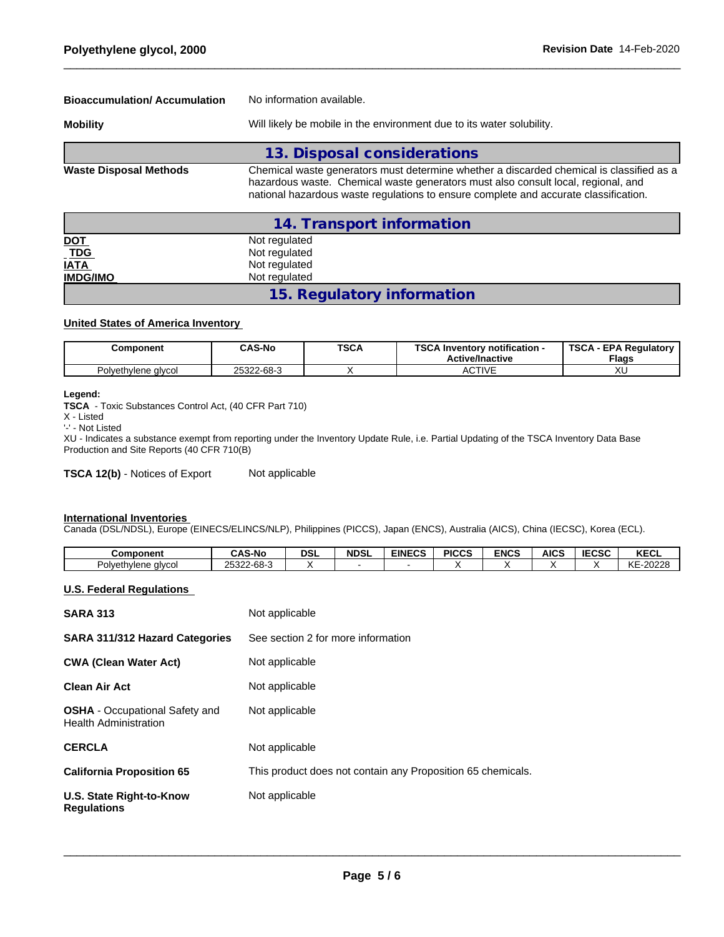| <b>Bioaccumulation/Accumulation</b> | No information available.                                                                                                                                                                                                                                             |  |  |  |  |
|-------------------------------------|-----------------------------------------------------------------------------------------------------------------------------------------------------------------------------------------------------------------------------------------------------------------------|--|--|--|--|
| <b>Mobility</b>                     | Will likely be mobile in the environment due to its water solubility.                                                                                                                                                                                                 |  |  |  |  |
|                                     | 13. Disposal considerations                                                                                                                                                                                                                                           |  |  |  |  |
| <b>Waste Disposal Methods</b>       | Chemical waste generators must determine whether a discarded chemical is classified as a<br>hazardous waste. Chemical waste generators must also consult local, regional, and<br>national hazardous waste regulations to ensure complete and accurate classification. |  |  |  |  |
|                                     | 14. Transport information                                                                                                                                                                                                                                             |  |  |  |  |

| $\frac{\underline{\mathsf{NOT}}}{\underline{\mathsf{TDG}}}$ | Not regulated              |  |
|-------------------------------------------------------------|----------------------------|--|
|                                                             | Not regulated              |  |
| <b>IATA</b>                                                 | Not regulated              |  |
| <b>IMDG/IMO</b>                                             | Not regulated              |  |
|                                                             | 15. Regulatory information |  |

#### **United States of America Inventory**

| Component           | <b>CAS-No</b> | <b>TSCA</b> | $T_{C}$<br><b>∖ Inventorv notification -</b><br>au<br><b>Active/Inactive</b> | TSCA<br>A - EPA Regulatory '<br><b>Flags</b> |
|---------------------|---------------|-------------|------------------------------------------------------------------------------|----------------------------------------------|
| Polyethylene glycol | 25322-68-3    |             | <b>CTIVE</b><br>AUIIVL                                                       | ハヒ                                           |

## **Legend:**

**TSCA** - Toxic Substances Control Act, (40 CFR Part 710)

X - Listed

'-' - Not Listed

XU - Indicates a substance exempt from reporting under the Inventory Update Rule, i.e. Partial Updating of the TSCA Inventory Data Base Production and Site Reports (40 CFR 710(B)

**TSCA 12(b)** - Notices of Export Not applicable

### **International Inventories**

Canada (DSL/NDSL), Europe (EINECS/ELINCS/NLP), Philippines (PICCS), Japan (ENCS), Australia (AICS), China (IECSC), Korea (ECL).

| Component           | <b>CAS-No</b>                        | dsl | <b>NDSL</b> | <b>EINECS</b> | <b>PICCS</b> | <b>ENCS</b> | <b>AICS</b> | <b>IECSC</b> | レヒヘリ<br><b>NEVL</b>   |
|---------------------|--------------------------------------|-----|-------------|---------------|--------------|-------------|-------------|--------------|-----------------------|
| Polvethvlene alvcol | co o<br>つにつつつ<br>n<br>ZUJZZ-<br>טיט־ |     |             |               |              |             |             |              | KE-20228<br><b>NE</b> |

### **U.S. Federal Regulations**

| <b>SARA 313</b>                                                | Not applicable                                              |
|----------------------------------------------------------------|-------------------------------------------------------------|
| SARA 311/312 Hazard Categories                                 | See section 2 for more information                          |
| <b>CWA (Clean Water Act)</b>                                   | Not applicable                                              |
| Clean Air Act                                                  | Not applicable                                              |
| <b>OSHA</b> - Occupational Safety and<br>Health Administration | Not applicable                                              |
| CERCLA                                                         | Not applicable                                              |
| <b>California Proposition 65</b>                               | This product does not contain any Proposition 65 chemicals. |
| U.S. State Right-to-Know<br>Requlations                        | Not applicable                                              |